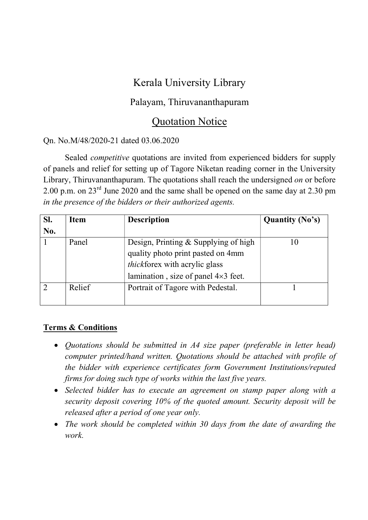# Kerala University Library

### Palayam, Thiruvananthapuram

## Quotation Notice

#### Qn. No.M/48/2020-21 dated 03.06.2020

 Sealed competitive quotations are invited from experienced bidders for supply of panels and relief for setting up of Tagore Niketan reading corner in the University Library, Thiruvananthapuram. The quotations shall reach the undersigned *on* or before 2.00 p.m. on  $23^{\text{rd}}$  June 2020 and the same shall be opened on the same day at 2.30 pm in the presence of the bidders or their authorized agents.

| SI.<br>No. | <b>Item</b> | <b>Description</b>                                                                                                                                              | <b>Quantity (No's)</b> |
|------------|-------------|-----------------------------------------------------------------------------------------------------------------------------------------------------------------|------------------------|
|            | Panel       | Design, Printing & Supplying of high<br>quality photo print pasted on 4mm<br><i>thickforex</i> with acrylic glass<br>lamination, size of panel $4\times3$ feet. | 10                     |
|            | Relief      | Portrait of Tagore with Pedestal.                                                                                                                               |                        |

### Terms & Conditions

- Quotations should be submitted in A4 size paper (preferable in letter head) computer printed/hand written. Quotations should be attached with profile of the bidder with experience certificates form Government Institutions/reputed firms for doing such type of works within the last five years.
- Selected bidder has to execute an agreement on stamp paper along with a security deposit covering 10% of the quoted amount. Security deposit will be released after a period of one year only.
- The work should be completed within 30 days from the date of awarding the work.